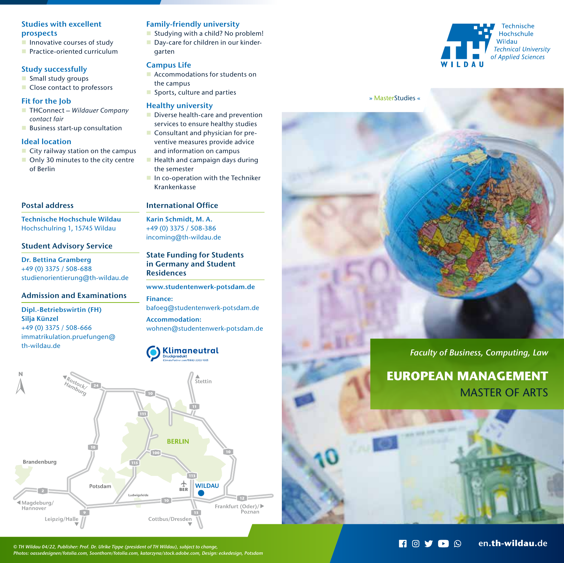## Studies with excellent prospects

- $\blacksquare$  Innovative courses of study
- **Practice-oriented curriculum**

## Study successfully

- Small study groups
- Close contact to professors

## Fit for the Job

- THConnect Wildauer Company contact fair
- **Business start-up consultation**

## Ideal location

- $\blacksquare$  City railway station on the campus
- Only 30 minutes to the city centre of Berlin

# Postal address

Technische Hochschule Wildau Hochschulring 1, 15745 Wildau

# Student Advisory Service

Dr. Bettina Gramberg +49 (0) 3375 / 508-688 studienorientierung@th-wildau.de

## Admission and Examinations

### Dipl.-Betriebswirtin (FH) Silja Künzel +49 (0) 3375 / 508-666 immatrikulation.pruefungen@ th-wildau.de

## Family-friendly university

Studying with a child? No problem! Day-care for children in our kindergarten

## Campus Life

- **Accommodations for students on** the campus
- Sports, culture and parties

## Healthy university

- Diverse health-care and prevention services to ensure healthy studies
- Consultant and physician for preventive measures provide advice
- and information on campus
- $\blacksquare$  Health and campaign days during the semester
- In co-operation with the Techniker Krankenkasse

## International Office

Karin Schmidt, M. A. +49 (0) 3375 / 508-386 incoming@th-wildau.de

# State Funding for Students in Germany and Student **Residences**

www.studentenwerk-potsdam.de Finance: bafoeg@studentenwerk-potsdam.de

Accommodation: wohnen@studentenwerk-potsdam.de

# **Klimaneutral**



*© TH Wildau 04/22, Publisher: Prof. Dr. Ulrike Tippe (president of TH Wildau), subject to change, Photos: oassedesignen/fotolia.com, Soonthorn/fotolia.com, katarzyna/stock.adobe.com, Design: eckedesign, Potsdam*





# *Faculty of Business, Computing, Law*

# **EUROPEAN MANAGEMENT** MASTER OF ARTS